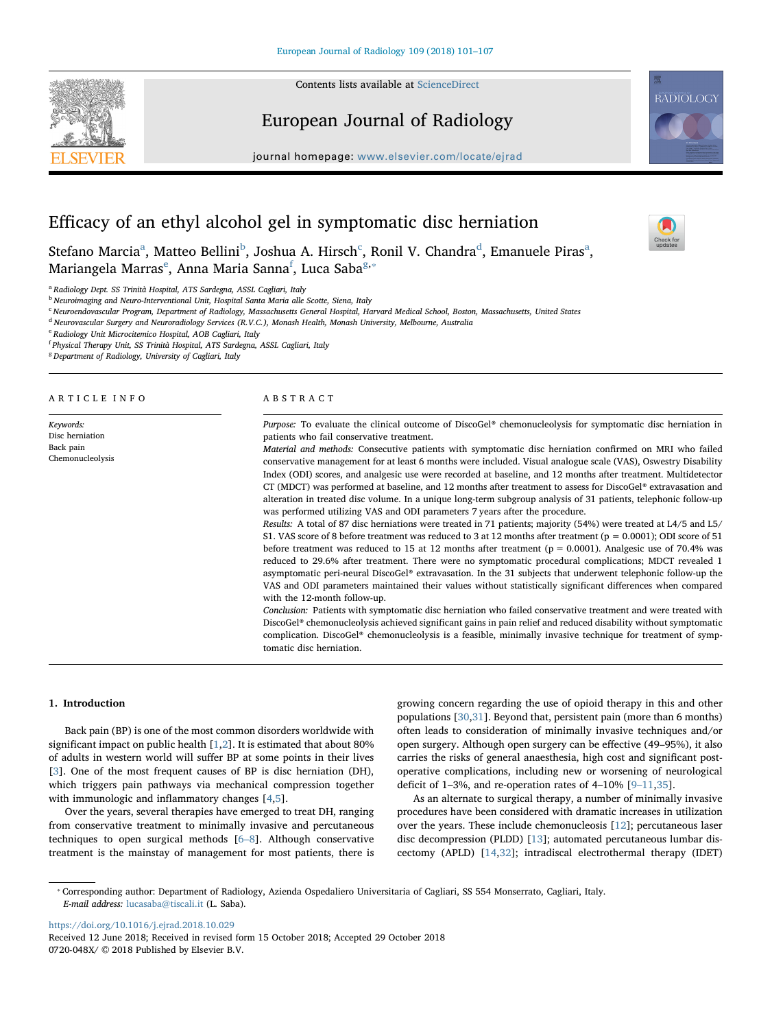

European Journal of Radiology





 $\sum_{\text{the}}$ 

# Efficacy of an ethyl alcohol gel in symptomatic disc herniation

Stefano Marcia<sup>a</sup>, Matteo Bellini<sup>[b](#page-0-1)</sup>, Joshua A. Hirs[c](#page-0-2)h<sup>c</sup>, Ronil V. Chan[d](#page-0-3)r[a](#page-0-0)<sup>d</sup>, Emanuele Piras<sup>a</sup>, Mariang[e](#page-0-4)la Marras<sup>e</sup>, Anna Maria Sanna<sup>[f](#page-0-5)</sup>, Luca Saba<sup>[g](#page-0-6),</sup>\*

<span id="page-0-0"></span><sup>a</sup> Radiology Dept. SS Trinità Hospital, ATS Sardegna, ASSL Cagliari, Italy

<span id="page-0-1"></span><sup>b</sup> Neuroimaging and Neuro-Interventional Unit, Hospital Santa Maria alle Scotte, Siena, Italy

<span id="page-0-2"></span><sup>c</sup> Neuroendovascular Program, Department of Radiology, Massachusetts General Hospital, Harvard Medical School, Boston, Massachusetts, United States

<span id="page-0-3"></span><sup>d</sup> Neurovascular Surgery and Neuroradiology Services (R.V.C.), Monash Health, Monash University, Melbourne, Australia

<span id="page-0-4"></span><sup>e</sup> Radiology Unit Microcitemico Hospital, AOB Cagliari, Italy

<span id="page-0-5"></span><sup>f</sup> Physical Therapy Unit, SS Trinità Hospital, ATS Sardegna, ASSL Cagliari, Italy

<span id="page-0-6"></span><sup>8</sup> Department of Radiology, University of Cagliari, Italy

ARTICLE INFO Keywords: Disc herniation Back pain Chemonucleolysis ABSTRACT Purpose: To evaluate the clinical outcome of DiscoGel® chemonucleolysis for symptomatic disc herniation in patients who fail conservative treatment. Material and methods: Consecutive patients with symptomatic disc herniation confirmed on MRI who failed conservative management for at least 6 months were included. Visual analogue scale (VAS), Oswestry Disability Index (ODI) scores, and analgesic use were recorded at baseline, and 12 months after treatment. Multidetector CT (MDCT) was performed at baseline, and 12 months after treatment to assess for DiscoGel® extravasation and alteration in treated disc volume. In a unique long-term subgroup analysis of 31 patients, telephonic follow-up was performed utilizing VAS and ODI parameters 7 years after the procedure. Results: A total of 87 disc herniations were treated in 71 patients; majority (54%) were treated at L4/5 and L5/ S1. VAS score of 8 before treatment was reduced to 3 at 12 months after treatment ( $p = 0.0001$ ); ODI score of 51 before treatment was reduced to 15 at 12 months after treatment ( $p = 0.0001$ ). Analgesic use of 70.4% was reduced to 29.6% after treatment. There were no symptomatic procedural complications; MDCT revealed 1 asymptomatic peri-neural DiscoGel® extravasation. In the 31 subjects that underwent telephonic follow-up the VAS and ODI parameters maintained their values without statistically significant differences when compared with the 12-month follow-up. Conclusion: Patients with symptomatic disc herniation who failed conservative treatment and were treated with DiscoGel® chemonucleolysis achieved significant gains in pain relief and reduced disability without symptomatic complication. DiscoGel® chemonucleolysis is a feasible, minimally invasive technique for treatment of symptomatic disc herniation.

## 1. Introduction

Back pain (BP) is one of the most common disorders worldwide with significant impact on public health [[1](#page-6-0),[2](#page-6-1)]. It is estimated that about 80% of adults in western world will suffer BP at some points in their lives [[3](#page-6-2)]. One of the most frequent causes of BP is disc herniation (DH), which triggers pain pathways via mechanical compression together with immunologic and inflammatory changes [[4](#page-6-3)[,5\]](#page-6-4).

Over the years, several therapies have emerged to treat DH, ranging from conservative treatment to minimally invasive and percutaneous techniques to open surgical methods [6–[8\]](#page-6-5). Although conservative treatment is the mainstay of management for most patients, there is growing concern regarding the use of opioid therapy in this and other populations [\[30](#page-6-6),[31](#page-6-7)]. Beyond that, persistent pain (more than 6 months) often leads to consideration of minimally invasive techniques and/or open surgery. Although open surgery can be effective (49–95%), it also carries the risks of general anaesthesia, high cost and significant postoperative complications, including new or worsening of neurological deficit of 1–3%, and re-operation rates of  $4-10\%$  [9–[11,](#page-6-8)[35\]](#page-6-9).

As an alternate to surgical therapy, a number of minimally invasive procedures have been considered with dramatic increases in utilization over the years. These include chemonucleosis [\[12](#page-6-10)]; percutaneous laser disc decompression (PLDD) [\[13\]](#page-6-11); automated percutaneous lumbar discectomy (APLD) [\[14](#page-6-12),[32](#page-6-13)]; intradiscal electrothermal therapy (IDET)

<https://doi.org/10.1016/j.ejrad.2018.10.029>

<span id="page-0-7"></span><sup>⁎</sup> Corresponding author: Department of Radiology, Azienda Ospedaliero Universitaria of Cagliari, SS 554 Monserrato, Cagliari, Italy. E-mail address: [lucasaba@tiscali.it](mailto:lucasaba@tiscali.it) (L. Saba).

Received 12 June 2018; Received in revised form 15 October 2018; Accepted 29 October 2018 0720-048X/ © 2018 Published by Elsevier B.V.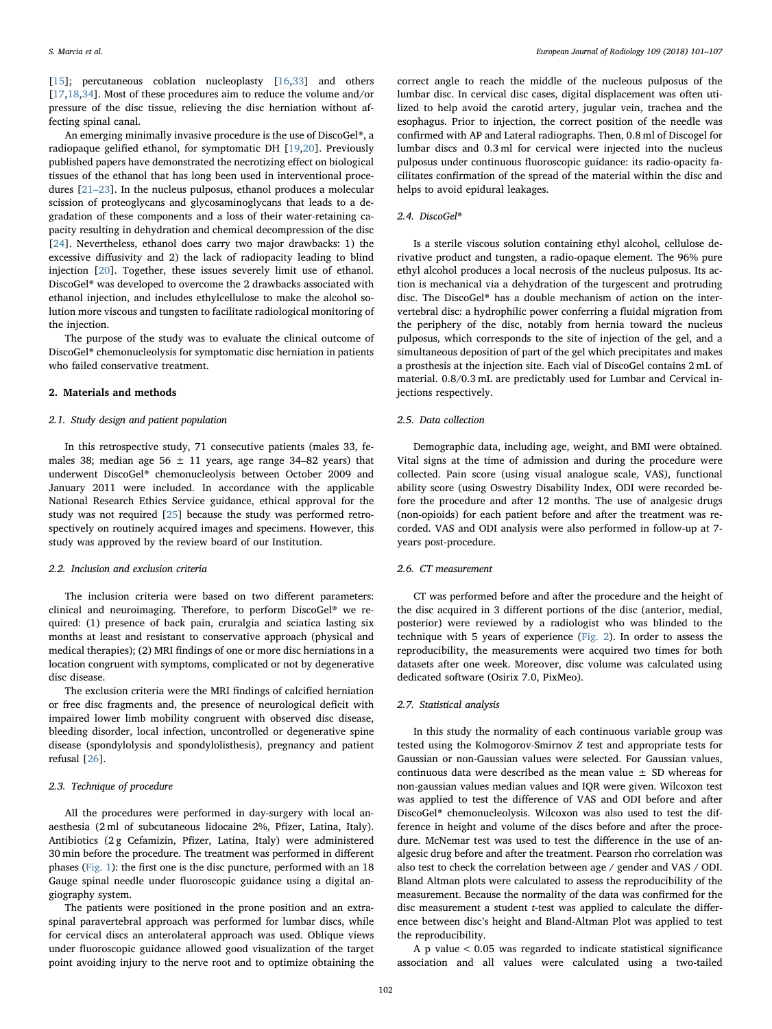[[15\]](#page-6-14); percutaneous coblation nucleoplasty [[16](#page-6-15),[33\]](#page-6-16) and others [[17](#page-6-17)[,18](#page-6-18)[,34](#page-6-19)]. Most of these procedures aim to reduce the volume and/or pressure of the disc tissue, relieving the disc herniation without affecting spinal canal.

An emerging minimally invasive procedure is the use of DiscoGel®, a radiopaque gelified ethanol, for symptomatic DH [[19,](#page-6-20)[20\]](#page-6-21). Previously published papers have demonstrated the necrotizing effect on biological tissues of the ethanol that has long been used in interventional procedures [21–[23\]](#page-6-22). In the nucleus pulposus, ethanol produces a molecular scission of proteoglycans and glycosaminoglycans that leads to a degradation of these components and a loss of their water-retaining capacity resulting in dehydration and chemical decompression of the disc [[24\]](#page-6-23). Nevertheless, ethanol does carry two major drawbacks: 1) the excessive diffusivity and 2) the lack of radiopacity leading to blind injection [[20\]](#page-6-21). Together, these issues severely limit use of ethanol. DiscoGel® was developed to overcome the 2 drawbacks associated with ethanol injection, and includes ethylcellulose to make the alcohol solution more viscous and tungsten to facilitate radiological monitoring of the injection.

The purpose of the study was to evaluate the clinical outcome of DiscoGel® chemonucleolysis for symptomatic disc herniation in patients who failed conservative treatment.

# 2. Materials and methods

#### 2.1. Study design and patient population

In this retrospective study, 71 consecutive patients (males 33, females 38; median age 56  $\pm$  11 years, age range 34-82 years) that underwent DiscoGel® chemonucleolysis between October 2009 and January 2011 were included. In accordance with the applicable National Research Ethics Service guidance, ethical approval for the study was not required [\[25](#page-6-24)] because the study was performed retrospectively on routinely acquired images and specimens. However, this study was approved by the review board of our Institution.

## 2.2. Inclusion and exclusion criteria

The inclusion criteria were based on two different parameters: clinical and neuroimaging. Therefore, to perform DiscoGel® we required: (1) presence of back pain, cruralgia and sciatica lasting six months at least and resistant to conservative approach (physical and medical therapies); (2) MRI findings of one or more disc herniations in a location congruent with symptoms, complicated or not by degenerative disc disease.

The exclusion criteria were the MRI findings of calcified herniation or free disc fragments and, the presence of neurological deficit with impaired lower limb mobility congruent with observed disc disease, bleeding disorder, local infection, uncontrolled or degenerative spine disease (spondylolysis and spondylolisthesis), pregnancy and patient refusal [\[26](#page-6-25)].

# 2.3. Technique of procedure

All the procedures were performed in day-surgery with local anaesthesia (2 ml of subcutaneous lidocaine 2%, Pfizer, Latina, Italy). Antibiotics (2 g Cefamizin, Pfizer, Latina, Italy) were administered 30 min before the procedure. The treatment was performed in different phases [\(Fig. 1](#page-2-0)): the first one is the disc puncture, performed with an 18 Gauge spinal needle under fluoroscopic guidance using a digital angiography system.

The patients were positioned in the prone position and an extraspinal paravertebral approach was performed for lumbar discs, while for cervical discs an anterolateral approach was used. Oblique views under fluoroscopic guidance allowed good visualization of the target point avoiding injury to the nerve root and to optimize obtaining the

correct angle to reach the middle of the nucleous pulposus of the lumbar disc. In cervical disc cases, digital displacement was often utilized to help avoid the carotid artery, jugular vein, trachea and the esophagus. Prior to injection, the correct position of the needle was confirmed with AP and Lateral radiographs. Then, 0.8 ml of Discogel for lumbar discs and 0.3 ml for cervical were injected into the nucleus pulposus under continuous fluoroscopic guidance: its radio-opacity facilitates confirmation of the spread of the material within the disc and helps to avoid epidural leakages.

### 2.4. DiscoGel®

Is a sterile viscous solution containing ethyl alcohol, cellulose derivative product and tungsten, a radio-opaque element. The 96% pure ethyl alcohol produces a local necrosis of the nucleus pulposus. Its action is mechanical via a dehydration of the turgescent and protruding disc. The DiscoGel® has a double mechanism of action on the intervertebral disc: a hydrophilic power conferring a fluidal migration from the periphery of the disc, notably from hernia toward the nucleus pulposus, which corresponds to the site of injection of the gel, and a simultaneous deposition of part of the gel which precipitates and makes a prosthesis at the injection site. Each vial of DiscoGel contains 2 mL of material. 0.8/0.3 mL are predictably used for Lumbar and Cervical injections respectively.

#### 2.5. Data collection

Demographic data, including age, weight, and BMI were obtained. Vital signs at the time of admission and during the procedure were collected. Pain score (using visual analogue scale, VAS), functional ability score (using Oswestry Disability Index, ODI were recorded before the procedure and after 12 months. The use of analgesic drugs (non-opioids) for each patient before and after the treatment was recorded. VAS and ODI analysis were also performed in follow-up at 7 years post-procedure.

## 2.6. CT measurement

CT was performed before and after the procedure and the height of the disc acquired in 3 different portions of the disc (anterior, medial, posterior) were reviewed by a radiologist who was blinded to the technique with 5 years of experience ([Fig. 2\)](#page-2-1). In order to assess the reproducibility, the measurements were acquired two times for both datasets after one week. Moreover, disc volume was calculated using dedicated software (Osirix 7.0, PixMeo).

#### 2.7. Statistical analysis

In this study the normality of each continuous variable group was tested using the Kolmogorov-Smirnov Z test and appropriate tests for Gaussian or non-Gaussian values were selected. For Gaussian values, continuous data were described as the mean value  $\pm$  SD whereas for non-gaussian values median values and IQR were given. Wilcoxon test was applied to test the difference of VAS and ODI before and after DiscoGel® chemonucleolysis. Wilcoxon was also used to test the difference in height and volume of the discs before and after the procedure. McNemar test was used to test the difference in the use of analgesic drug before and after the treatment. Pearson rho correlation was also test to check the correlation between age / gender and VAS / ODI. Bland Altman plots were calculated to assess the reproducibility of the measurement. Because the normality of the data was confirmed for the disc measurement a student t-test was applied to calculate the difference between disc's height and Bland-Altman Plot was applied to test the reproducibility.

A p value < 0.05 was regarded to indicate statistical significance association and all values were calculated using a two-tailed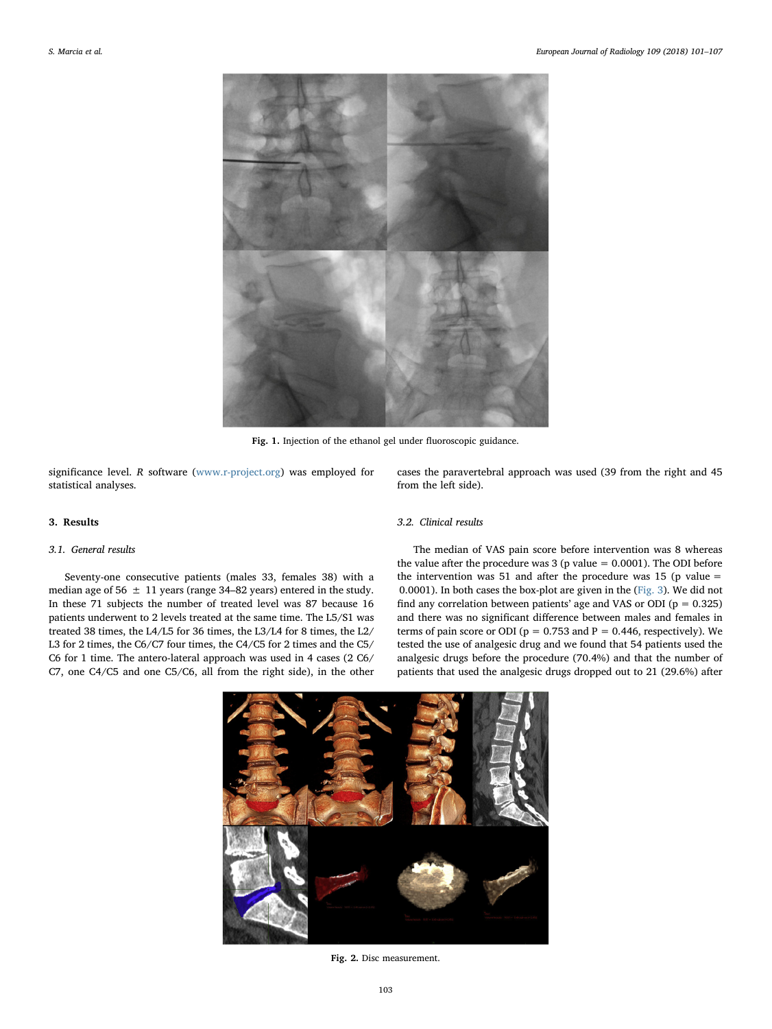<span id="page-2-0"></span>

Fig. 1. Injection of the ethanol gel under fluoroscopic guidance.

significance level. R software [\(www.r-project.org](http://www.r-project.org)) was employed for statistical analyses.

## 3. Results

# 3.1. General results

<span id="page-2-1"></span>Seventy-one consecutive patients (males 33, females 38) with a median age of 56  $\pm$  11 years (range 34–82 years) entered in the study. In these 71 subjects the number of treated level was 87 because 16 patients underwent to 2 levels treated at the same time. The L5/S1 was treated 38 times, the L4/L5 for 36 times, the L3/L4 for 8 times, the L2/ L3 for 2 times, the C6/C7 four times, the C4/C5 for 2 times and the C5/ C6 for 1 time. The antero-lateral approach was used in 4 cases (2 C6/ C7, one C4/C5 and one C5/C6, all from the right side), in the other

cases the paravertebral approach was used (39 from the right and 45 from the left side).

# 3.2. Clinical results

The median of VAS pain score before intervention was 8 whereas the value after the procedure was  $3$  (p value = 0.0001). The ODI before the intervention was 51 and after the procedure was 15 (p value  $=$ 0.0001). In both cases the box-plot are given in the [\(Fig. 3\)](#page-3-0). We did not find any correlation between patients' age and VAS or ODI ( $p = 0.325$ ) and there was no significant difference between males and females in terms of pain score or ODI ( $p = 0.753$  and  $P = 0.446$ , respectively). We tested the use of analgesic drug and we found that 54 patients used the analgesic drugs before the procedure (70.4%) and that the number of patients that used the analgesic drugs dropped out to 21 (29.6%) after



Fig. 2. Disc measurement.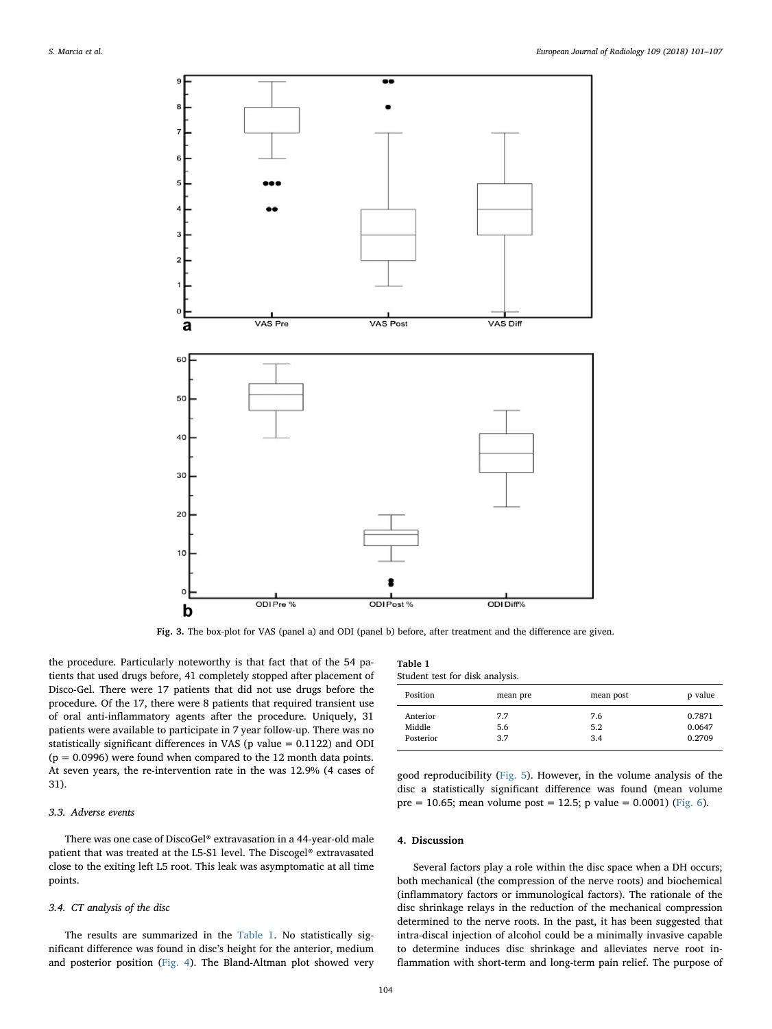<span id="page-3-0"></span>

Fig. 3. The box-plot for VAS (panel a) and ODI (panel b) before, after treatment and the difference are given.

<span id="page-3-1"></span> $T = 1.1$ 

the procedure. Particularly noteworthy is that fact that of the 54 patients that used drugs before, 41 completely stopped after placement of Disco-Gel. There were 17 patients that did not use drugs before the procedure. Of the 17, there were 8 patients that required transient use of oral anti-inflammatory agents after the procedure. Uniquely, 31 patients were available to participate in 7 year follow-up. There was no statistically significant differences in VAS (p value = 0.1122) and ODI  $(p = 0.0996)$  were found when compared to the 12 month data points. At seven years, the re-intervention rate in the was 12.9% (4 cases of 31).

# 3.3. Adverse events

There was one case of DiscoGel® extravasation in a 44-year-old male patient that was treated at the L5-S1 level. The Discogel® extravasated close to the exiting left L5 root. This leak was asymptomatic at all time points.

#### 3.4. CT analysis of the disc

The results are summarized in the [Table 1.](#page-3-1) No statistically significant difference was found in disc's height for the anterior, medium and posterior position [\(Fig. 4](#page-4-0)). The Bland-Altman plot showed very

| Table 1 |  |  |
|---------|--|--|
|         |  |  |

Student test for disk analysis.

| Position  | mean pre | mean post | p value |  |
|-----------|----------|-----------|---------|--|
| Anterior  | 7.7      | 7.6       | 0.7871  |  |
| Middle    | 5.6      | 5.2       | 0.0647  |  |
| Posterior | 3.7      | 3.4       | 0.2709  |  |

good reproducibility ([Fig. 5](#page-4-1)). However, in the volume analysis of the disc a statistically significant difference was found (mean volume pre = 10.65; mean volume post = 12.5; p value = 0.0001) ([Fig. 6](#page-5-0)).

# 4. Discussion

Several factors play a role within the disc space when a DH occurs; both mechanical (the compression of the nerve roots) and biochemical (inflammatory factors or immunological factors). The rationale of the disc shrinkage relays in the reduction of the mechanical compression determined to the nerve roots. In the past, it has been suggested that intra-discal injection of alcohol could be a minimally invasive capable to determine induces disc shrinkage and alleviates nerve root inflammation with short-term and long-term pain relief. The purpose of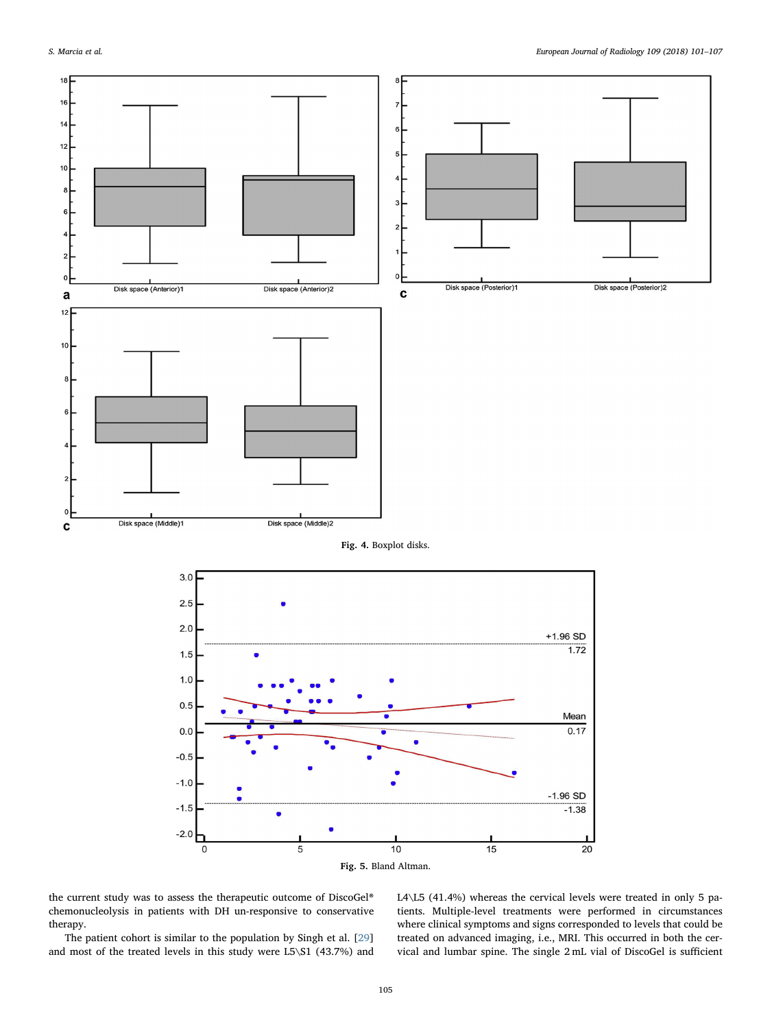<span id="page-4-0"></span>

<span id="page-4-1"></span>the current study was to assess the therapeutic outcome of DiscoGel® chemonucleolysis in patients with DH un-responsive to conservative therapy.

The patient cohort is similar to the population by Singh et al. [\[29](#page-6-26)] and most of the treated levels in this study were L5\S1 (43.7%) and L4\L5 (41.4%) whereas the cervical levels were treated in only 5 patients. Multiple-level treatments were performed in circumstances where clinical symptoms and signs corresponded to levels that could be treated on advanced imaging, i.e., MRI. This occurred in both the cervical and lumbar spine. The single 2 mL vial of DiscoGel is sufficient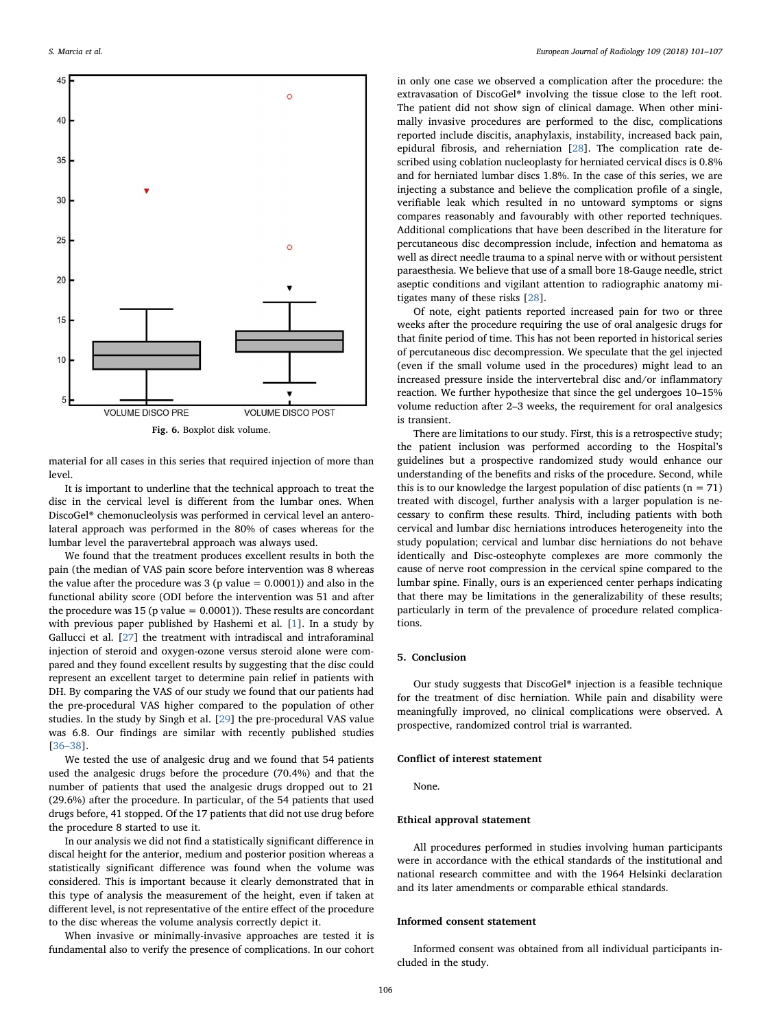<span id="page-5-0"></span>

Fig. 6. Boxplot disk volume.

material for all cases in this series that required injection of more than level.

It is important to underline that the technical approach to treat the disc in the cervical level is different from the lumbar ones. When DiscoGel® chemonucleolysis was performed in cervical level an anterolateral approach was performed in the 80% of cases whereas for the lumbar level the paravertebral approach was always used.

We found that the treatment produces excellent results in both the pain (the median of VAS pain score before intervention was 8 whereas the value after the procedure was  $3$  (p value  $= 0.0001$ )) and also in the functional ability score (ODI before the intervention was 51 and after the procedure was  $15$  (p value =  $0.0001$ )). These results are concordant with previous paper published by Hashemi et al. [\[1\]](#page-6-0). In a study by Gallucci et al. [[27](#page-6-27)] the treatment with intradiscal and intraforaminal injection of steroid and oxygen-ozone versus steroid alone were compared and they found excellent results by suggesting that the disc could represent an excellent target to determine pain relief in patients with DH. By comparing the VAS of our study we found that our patients had the pre-procedural VAS higher compared to the population of other studies. In the study by Singh et al. [\[29](#page-6-26)] the pre-procedural VAS value was 6.8. Our findings are similar with recently published studies [36–[38\]](#page-6-28).

We tested the use of analgesic drug and we found that 54 patients used the analgesic drugs before the procedure (70.4%) and that the number of patients that used the analgesic drugs dropped out to 21 (29.6%) after the procedure. In particular, of the 54 patients that used drugs before, 41 stopped. Of the 17 patients that did not use drug before the procedure 8 started to use it.

In our analysis we did not find a statistically significant difference in discal height for the anterior, medium and posterior position whereas a statistically significant difference was found when the volume was considered. This is important because it clearly demonstrated that in this type of analysis the measurement of the height, even if taken at different level, is not representative of the entire effect of the procedure to the disc whereas the volume analysis correctly depict it.

When invasive or minimally-invasive approaches are tested it is fundamental also to verify the presence of complications. In our cohort in only one case we observed a complication after the procedure: the extravasation of DiscoGel® involving the tissue close to the left root. The patient did not show sign of clinical damage. When other minimally invasive procedures are performed to the disc, complications reported include discitis, anaphylaxis, instability, increased back pain, epidural fibrosis, and reherniation [[28\]](#page-6-29). The complication rate described using coblation nucleoplasty for herniated cervical discs is 0.8% and for herniated lumbar discs 1.8%. In the case of this series, we are injecting a substance and believe the complication profile of a single, verifiable leak which resulted in no untoward symptoms or signs compares reasonably and favourably with other reported techniques. Additional complications that have been described in the literature for percutaneous disc decompression include, infection and hematoma as well as direct needle trauma to a spinal nerve with or without persistent paraesthesia. We believe that use of a small bore 18-Gauge needle, strict aseptic conditions and vigilant attention to radiographic anatomy mitigates many of these risks [\[28](#page-6-29)].

Of note, eight patients reported increased pain for two or three weeks after the procedure requiring the use of oral analgesic drugs for that finite period of time. This has not been reported in historical series of percutaneous disc decompression. We speculate that the gel injected (even if the small volume used in the procedures) might lead to an increased pressure inside the intervertebral disc and/or inflammatory reaction. We further hypothesize that since the gel undergoes 10–15% volume reduction after 2–3 weeks, the requirement for oral analgesics is transient.

There are limitations to our study. First, this is a retrospective study; the patient inclusion was performed according to the Hospital's guidelines but a prospective randomized study would enhance our understanding of the benefits and risks of the procedure. Second, while this is to our knowledge the largest population of disc patients  $(n = 71)$ treated with discogel, further analysis with a larger population is necessary to confirm these results. Third, including patients with both cervical and lumbar disc herniations introduces heterogeneity into the study population; cervical and lumbar disc herniations do not behave identically and Disc-osteophyte complexes are more commonly the cause of nerve root compression in the cervical spine compared to the lumbar spine. Finally, ours is an experienced center perhaps indicating that there may be limitations in the generalizability of these results; particularly in term of the prevalence of procedure related complications.

## 5. Conclusion

Our study suggests that DiscoGel® injection is a feasible technique for the treatment of disc herniation. While pain and disability were meaningfully improved, no clinical complications were observed. A prospective, randomized control trial is warranted.

# Conflict of interest statement

None.

## Ethical approval statement

All procedures performed in studies involving human participants were in accordance with the ethical standards of the institutional and national research committee and with the 1964 Helsinki declaration and its later amendments or comparable ethical standards.

### Informed consent statement

Informed consent was obtained from all individual participants included in the study.